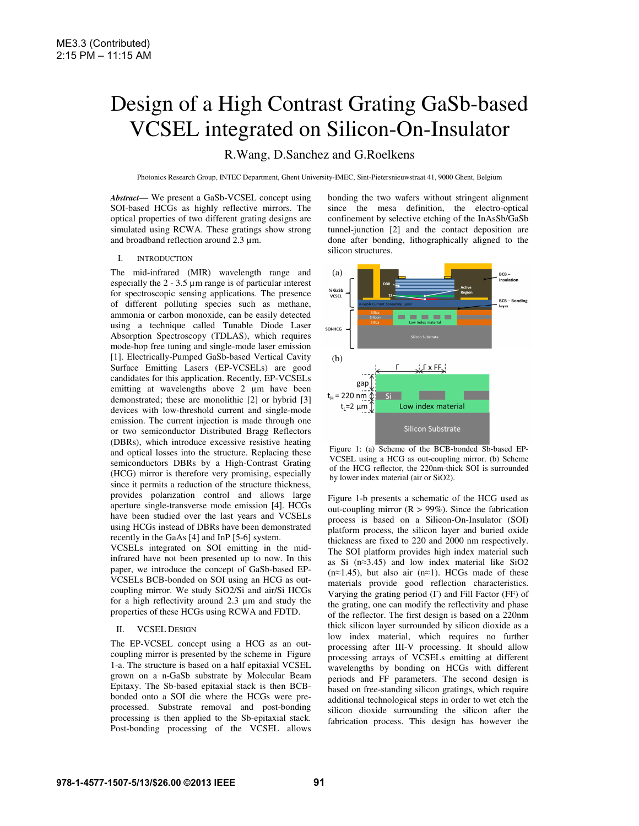# Design of a High Contrast Grating GaSb-based VCSEL integrated on Silicon-On-Insulator

# R.Wang, D.Sanchez and G.Roelkens

Photonics Research Group, INTEC Department, Ghent University-IMEC, Sint-Pietersnieuwstraat 41, 9000 Ghent, Belgium

*Abstract*— We present a GaSb-VCSEL concept using SOI-based HCGs as highly reflective mirrors. The optical properties of two different grating designs are simulated using RCWA. These gratings show strong and broadband reflection around 2.3 µm.

# I. INTRODUCTION

The mid-infrared (MIR) wavelength range and especially the  $2 - 3.5 \mu m$  range is of particular interest for spectroscopic sensing applications. The presence of different polluting species such as methane, ammonia or carbon monoxide, can be easily detected using a technique called Tunable Diode Laser Absorption Spectroscopy (TDLAS), which requires mode-hop free tuning and single-mode laser emission [1]. Electrically-Pumped GaSb-based Vertical Cavity Surface Emitting Lasers (EP-VCSELs) are good candidates for this application. Recently, EP-VCSELs emitting at wavelengths above 2  $\mu$ m have been demonstrated; these are monolithic [2] or hybrid [3] devices with low-threshold current and single-mode emission. The current injection is made through one or two semiconductor Distributed Bragg Reflectors (DBRs), which introduce excessive resistive heating and optical losses into the structure. Replacing these semiconductors DBRs by a High-Contrast Grating (HCG) mirror is therefore very promising, especially since it permits a reduction of the structure thickness, provides polarization control and allows large aperture single-transverse mode emission [4]. HCGs have been studied over the last years and VCSELs using HCGs instead of DBRs have been demonstrated recently in the GaAs [4] and InP [5-6] system.

VCSELs integrated on SOI emitting in the midinfrared have not been presented up to now. In this paper, we introduce the concept of GaSb-based EP-VCSELs BCB-bonded on SOI using an HCG as outcoupling mirror. We study SiO2/Si and air/Si HCGs for a high reflectivity around 2.3 µm and study the properties of these HCGs using RCWA and FDTD.

#### II. VCSEL DESIGN

The EP-VCSEL concept using a HCG as an outcoupling mirror is presented by the scheme in Figure 1-a. The structure is based on a half epitaxial VCSEL grown on a n-GaSb substrate by Molecular Beam Epitaxy. The Sb-based epitaxial stack is then BCBbonded onto a SOI die where the HCGs were preprocessed. Substrate removal and post-bonding processing is then applied to the Sb-epitaxial stack. Post-bonding processing of the VCSEL allows bonding the two wafers without stringent alignment since the mesa definition, the electro-optical confinement by selective etching of the InAsSb/GaSb tunnel-junction [2] and the contact deposition are done after bonding, lithographically aligned to the silicon structures.



Figure 1: (a) Scheme of the BCB-bonded Sb-based EP-VCSEL using a HCG as out-coupling mirror. (b) Scheme of the HCG reflector, the 220nm-thick SOI is surrounded by lower index material (air or SiO2).

Figure 1-b presents a schematic of the HCG used as out-coupling mirror  $(R > 99\%)$ . Since the fabrication process is based on a Silicon-On-Insulator (SOI) platform process, the silicon layer and buried oxide thickness are fixed to 220 and 2000 nm respectively. The SOI platform provides high index material such as Si (n≈3.45) and low index material like SiO2  $(n \approx 1.45)$ , but also air  $(n \approx 1)$ . HCGs made of these materials provide good reflection characteristics. Varying the grating period (Γ) and Fill Factor (FF) of the grating, one can modify the reflectivity and phase of the reflector. The first design is based on a 220nm thick silicon layer surrounded by silicon dioxide as a low index material, which requires no further processing after III-V processing. It should allow processing arrays of VCSELs emitting at different wavelengths by bonding on HCGs with different periods and FF parameters. The second design is based on free-standing silicon gratings, which require additional technological steps in order to wet etch the silicon dioxide surrounding the silicon after the fabrication process. This design has however the